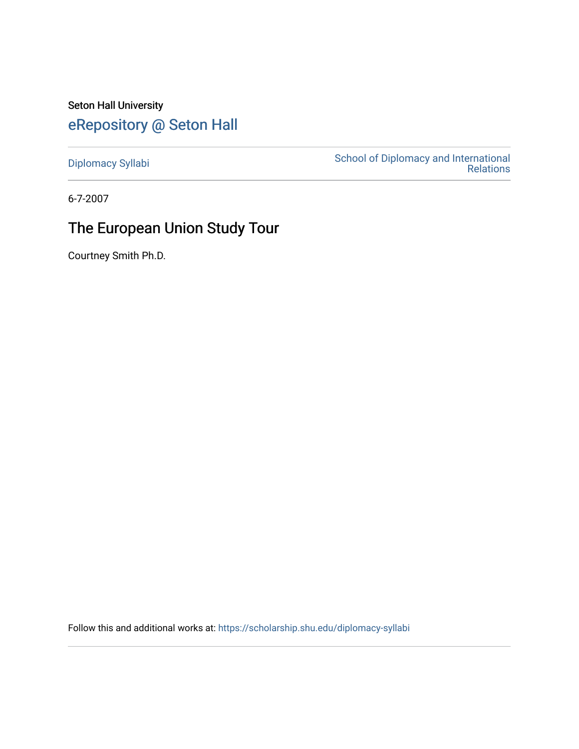Seton Hall University [eRepository @ Seton Hall](https://scholarship.shu.edu/)

[Diplomacy Syllabi](https://scholarship.shu.edu/diplomacy-syllabi) [School of Diplomacy and International](https://scholarship.shu.edu/diplomacy)  [Relations](https://scholarship.shu.edu/diplomacy) 

6-7-2007

# The European Union Study Tour

Courtney Smith Ph.D.

Follow this and additional works at: [https://scholarship.shu.edu/diplomacy-syllabi](https://scholarship.shu.edu/diplomacy-syllabi?utm_source=scholarship.shu.edu%2Fdiplomacy-syllabi%2F641&utm_medium=PDF&utm_campaign=PDFCoverPages)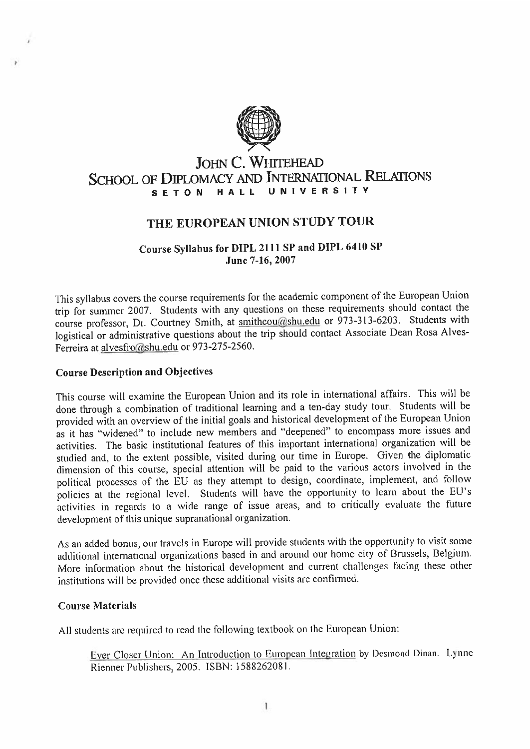

### **JOHN C. WHITEHEAD SCHOOL** OF **DIPLOMACY** AND **INTERNATIONAL RELATIONS** S E T O N HALL

## **THE EUROPEAN UNION STUDY TOUR**

#### **Course Syllabus for DIPL <sup>2111</sup> SP and DIPL <sup>6410</sup> SP June 7-16, 2007**

This syllabus covers the course requirements for the academic componen<sup>t</sup> of the European Union trip for summer <sup>2007</sup>. Students with any questions on these requirements should contact the course professor, Dr. Courtney Smith, at smithcou@shu.edu or 973-313-6203. Students with logistical or administrative questions about the trip should contact Associate Dean Rosa Alves-Ferreira at alvesfro@shu.edu or 973-275-2560.

#### **Course Description and Objectives**

This course will examine the European Union and its role in international affairs. This will be done through <sup>a</sup> combination of traditional learning and <sup>a</sup> ten-day study tour. Students will be provided with an overview of the initial goals and historical development of the European Union as it has "widened" to include new members and "deepened" to encompass more issues and activities. The basic institutional features of this important international organization will be studied and, to the extent possible, visited during our time in Europe. Given the diplomatic dimension of this course, special attention will be paid to the various actors involved in the political processes of the EU as they attempt to design, coordinate, implement, and follow policies at the regional level. Students will have the opportunity to learn about the EU'<sup>s</sup> activities in regards to <sup>a</sup> wide range of issue areas, and to critically evaluate the future development of this unique supranational organization.

As an added bonus, our travels in Europe will provide students with the opportunity to visit some additional international organizations based in and around our home city of Brussels, Belgium. More information about the historical development and current challenges facing these other institutions will be provided once these additional visits are confirmed.

#### **Course Materials**

All students are required to read the following textbook on the European Union:

Ever Closer Union: An Introduction to European Integration by Desmond Dinan. Lynne Rienner Publishers, 2005. ISBN: 1588262081.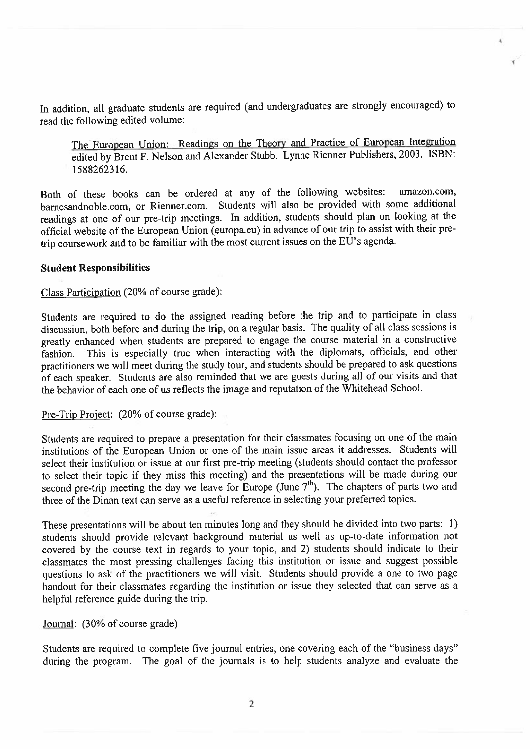In addition, all graduate students are required (and undergraduates are strongly encouraged) to read the following edited volume:

The European Union: Readings on the Theory and Practice of European Integration edited by Brent <sup>F</sup>. Nelson and Alexander Stubb. Lynne Rienner Publishers, 2003. ISBN: 1588262316.

Both of these books can be ordered at any of the following websites: barnesandnoble.com, or Rienner.com. Students will also be provided with some additional readings at one of our pre-trip meetings. In addition, students should <sup>p</sup>lan on looking at the official website of the European Union (europa.eu) in advance of our trip to assist with their pretrip coursework and to be familiar with the most current issues on the EU's agenda. amazon.com,

#### **Student Responsibilities**

## Class Participation (20% of course grade):

Students are required to do the assigned reading before the trip and to participate in class discussion, both before and during the trip, on <sup>a</sup> regular basis. The quality of all class sessions is greatly enhanced when students are prepare<sup>d</sup> to engage the course material in <sup>a</sup> constructive fashion. This is especially true when interacting with the diplomats, officials, and other practitioners we will meet during the study tour, and students should be prepare<sup>d</sup> to ask questions of each speaker. Students are also reminded that we are guests during all of our visits and that the behavior of each one of us reflects the image and reputation of the Whitehead School.

Pre-Trip Project: (20% of course grade):

Students are required to prepare <sup>a</sup> presentation for their classmates focusing on one of the main institutions of the European Union or one of the main issue areas it addresses. Students will select their institution or issue at our first pre-trip meeting (students should contact the professor to select their topic if they miss this meeting) and the presentations will be made during our second pre-trip meeting the day we leave for Europe (June  $7<sup>th</sup>$ ). The chapters of parts two and three of the Dinan text can serve as <sup>a</sup> useful reference in selecting your preferred topics.

These presentations will be about ten minutes long and they should be divided into two parts: <sup>1</sup>) students should provide relevant background material as well as up-to-date information not covered by the course text in regards to your topic, and <sup>2</sup>) students should indicate to their classmates the most pressing challenges facing this institution or issue and sugges<sup>t</sup> possible questions to ask of the practitioners we will visit. Students should provide <sup>a</sup> one to two page handout for their classmates regarding the institution or issue they selected that can serve as <sup>a</sup> helpful reference guide during the trip.

Journal: (30% of course grade)

Students are required to complete five journal entries, one covering each of the "business days" during the program. The goa<sup>l</sup> of the journals is to help students analyze and evaluate the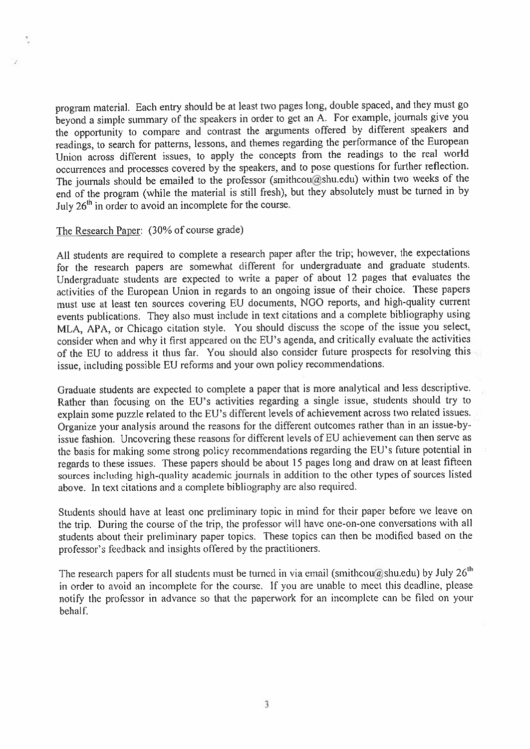program material. Each entry should be at least two pages long, double spaced, and they must go beyond <sup>a</sup> simple summary of the speakers in order to ge<sup>t</sup> an <sup>A</sup>. For example, journals <sup>g</sup>ive you the opportunity to compare and contrast the arguments offered by different speakers and readings, to search for patterns, lessons, and themes regarding the performance of the European Union across different issues, to apply the concepts from the readings to the real world occurrences and processes covered by the speakers, and to pose questions for further reflection. The journals should be emailed to the professor (smithcou@shu.edu) within two weeks of the end of the program (while the material is still fresh), but they absolutely must be turned in by July  $26<sup>th</sup>$  in order to avoid an incomplete for the course.

#### The Research Paper: (30% of course grade)

All students are required to complete <sup>a</sup> research paper after the trip; however, the expectations for the research papers are somewhat different for undergraduate and graduate students. Undergraduate students are expected to write <sup>a</sup> paper of about <sup>12</sup> pages that evaluates the activities of the European Union in regards to an ongoing issue of their choice. These papers must use at least ten sources covering EU documents, NGO reports, and high-quality current events publications. They also must include in text citations and <sup>a</sup> complete bibliography using MLA, APA, or Chicago citation style. You should discuss the scope of the issue you select, consider when and why it first appeare<sup>d</sup> on the EU'<sup>s</sup> agenda, and critically evaluate the activities of the EU to address it thus far. You should also consider future prospects for resolving this issue, including possible EU reforms and your own policy recommendations.

Graduate students are expected to complete <sup>a</sup> paper that is more analytical and less descriptive. Rather than focusing on the EU'<sup>s</sup> activities regarding <sup>a</sup> single issue, students should try to explain some puzzle related to the EU'<sup>s</sup> different levels of achievement across two related issues. Organize your analysis around the reasons for the different outcomes rather than in an issue-byissue fashion. Uncovering these reasons for different levels of EU achievement can then serve as the basis for making some strong policy recommendations regarding the EU'<sup>s</sup> future potential in regards to these issues. These papers should be about <sup>15</sup> pages long and draw on at least fifteen sources including high-quality academic journals in addition to the other types of sources listed above. In text citations and <sup>a</sup> complete bibliography are also required.

Students should have at least one preliminary topic in mind for their paper before we leave on the trip. During the course of the trip, the professor will have one-on-one conversations with all students about their preliminary paper topics. These topics can then be modified based on the professor'<sup>s</sup> feedback and insights offered by the practitioners.

The research papers for all students must be turned in via email (smithcou@shu.edu) by July  $26<sup>th</sup>$ in order to avoid an incomplete for the course. If you are unable to meet this deadline, please notify the professor in advance so that the paperwor<sup>k</sup> for an incomplete can be filed on your behalf.